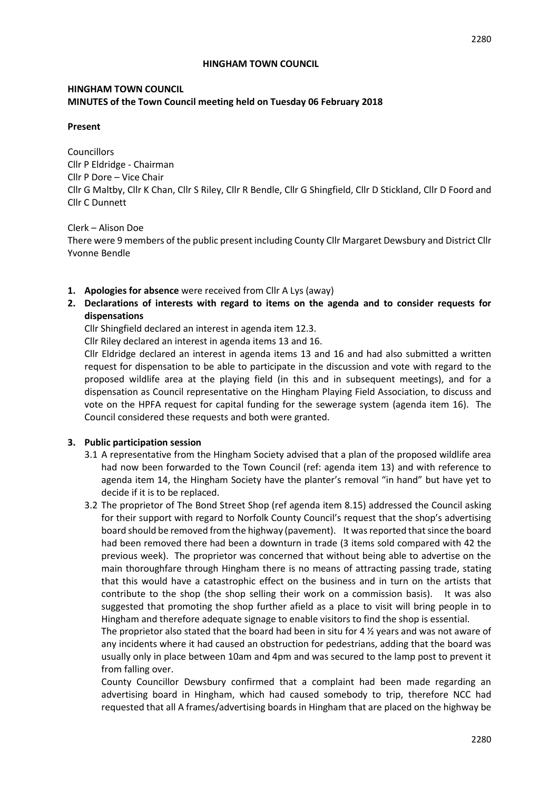#### **HINGHAM TOWN COUNCIL**

#### **Present**

Councillors Cllr P Eldridge - Chairman Cllr P Dore – Vice Chair Cllr G Maltby, Cllr K Chan, Cllr S Riley, Cllr R Bendle, Cllr G Shingfield, Cllr D Stickland, Cllr D Foord and Cllr C Dunnett

Clerk – Alison Doe

There were 9 members of the public present including County Cllr Margaret Dewsbury and District Cllr Yvonne Bendle

- **1. Apologies for absence** were received from Cllr A Lys (away)
- **2. Declarations of interests with regard to items on the agenda and to consider requests for dispensations**

Cllr Shingfield declared an interest in agenda item 12.3.

Cllr Riley declared an interest in agenda items 13 and 16.

Cllr Eldridge declared an interest in agenda items 13 and 16 and had also submitted a written request for dispensation to be able to participate in the discussion and vote with regard to the proposed wildlife area at the playing field (in this and in subsequent meetings), and for a dispensation as Council representative on the Hingham Playing Field Association, to discuss and vote on the HPFA request for capital funding for the sewerage system (agenda item 16). The Council considered these requests and both were granted.

#### **3. Public participation session**

- 3.1 A representative from the Hingham Society advised that a plan of the proposed wildlife area had now been forwarded to the Town Council (ref: agenda item 13) and with reference to agenda item 14, the Hingham Society have the planter's removal "in hand" but have yet to decide if it is to be replaced.
- 3.2 The proprietor of The Bond Street Shop (ref agenda item 8.15) addressed the Council asking for their support with regard to Norfolk County Council's request that the shop's advertising board should be removed from the highway (pavement). It was reported that since the board had been removed there had been a downturn in trade (3 items sold compared with 42 the previous week). The proprietor was concerned that without being able to advertise on the main thoroughfare through Hingham there is no means of attracting passing trade, stating that this would have a catastrophic effect on the business and in turn on the artists that contribute to the shop (the shop selling their work on a commission basis). It was also suggested that promoting the shop further afield as a place to visit will bring people in to Hingham and therefore adequate signage to enable visitors to find the shop is essential.

The proprietor also stated that the board had been in situ for 4  $\frac{1}{2}$  years and was not aware of any incidents where it had caused an obstruction for pedestrians, adding that the board was usually only in place between 10am and 4pm and was secured to the lamp post to prevent it from falling over.

County Councillor Dewsbury confirmed that a complaint had been made regarding an advertising board in Hingham, which had caused somebody to trip, therefore NCC had requested that all A frames/advertising boards in Hingham that are placed on the highway be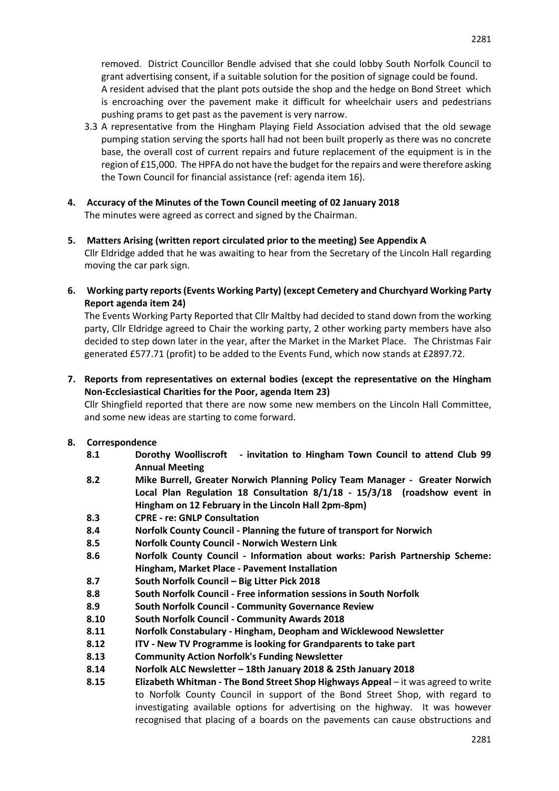removed. District Councillor Bendle advised that she could lobby South Norfolk Council to grant advertising consent, if a suitable solution for the position of signage could be found. A resident advised that the plant pots outside the shop and the hedge on Bond Street which is encroaching over the pavement make it difficult for wheelchair users and pedestrians pushing prams to get past as the pavement is very narrow.

- 3.3 A representative from the Hingham Playing Field Association advised that the old sewage pumping station serving the sports hall had not been built properly as there was no concrete base, the overall cost of current repairs and future replacement of the equipment is in the region of £15,000. The HPFA do not have the budget for the repairs and were therefore asking the Town Council for financial assistance (ref: agenda item 16).
- **4. Accuracy of the Minutes of the Town Council meeting of 02 January 2018** The minutes were agreed as correct and signed by the Chairman.
- **5. Matters Arising (written report circulated prior to the meeting) See Appendix A** Cllr Eldridge added that he was awaiting to hear from the Secretary of the Lincoln Hall regarding moving the car park sign.
- **6. Working party reports (Events Working Party) (except Cemetery and Churchyard Working Party Report agenda item 24)**

The Events Working Party Reported that Cllr Maltby had decided to stand down from the working party, Cllr Eldridge agreed to Chair the working party, 2 other working party members have also decided to step down later in the year, after the Market in the Market Place. The Christmas Fair generated £577.71 (profit) to be added to the Events Fund, which now stands at £2897.72.

**7. Reports from representatives on external bodies (except the representative on the Hingham Non-Ecclesiastical Charities for the Poor, agenda Item 23)**

Cllr Shingfield reported that there are now some new members on the Lincoln Hall Committee, and some new ideas are starting to come forward.

# **8. Correspondence**

- **8.1 Dorothy Woolliscroft - invitation to Hingham Town Council to attend Club 99 Annual Meeting**
- **8.2 Mike Burrell, Greater Norwich Planning Policy Team Manager Greater Norwich Local Plan Regulation 18 Consultation 8/1/18 - 15/3/18 (roadshow event in Hingham on 12 February in the Lincoln Hall 2pm-8pm)**
- **8.3 CPRE - re: GNLP Consultation**
- **8.4 Norfolk County Council - Planning the future of transport for Norwich**
- **8.5 Norfolk County Council - Norwich Western Link**
- **8.6 Norfolk County Council - Information about works: Parish Partnership Scheme: Hingham, Market Place - Pavement Installation**
- **8.7 South Norfolk Council – Big Litter Pick 2018**
- **8.8 South Norfolk Council - Free information sessions in South Norfolk**
- **8.9 South Norfolk Council - Community Governance Review**
- **8.10 South Norfolk Council - Community Awards 2018**
- **8.11 Norfolk Constabulary - Hingham, Deopham and Wicklewood Newsletter**
- **8.12 ITV - New TV Programme is looking for Grandparents to take part**
- **8.13 Community Action Norfolk's Funding Newsletter**
- **8.14 Norfolk ALC Newsletter – 18th January 2018 & 25th January 2018**
- **8.15 Elizabeth Whitman - The Bond Street Shop Highways Appeal** it was agreed to write to Norfolk County Council in support of the Bond Street Shop, with regard to investigating available options for advertising on the highway. It was however recognised that placing of a boards on the pavements can cause obstructions and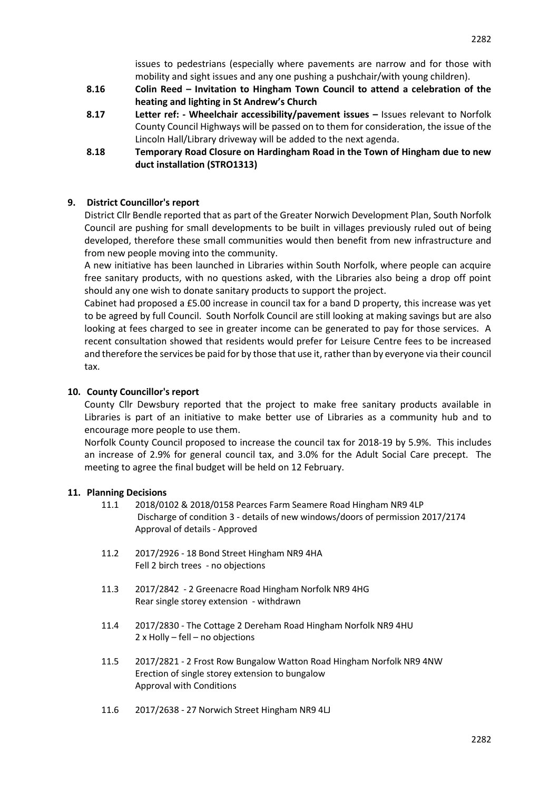issues to pedestrians (especially where pavements are narrow and for those with mobility and sight issues and any one pushing a pushchair/with young children).

- **8.16 Colin Reed – Invitation to Hingham Town Council to attend a celebration of the heating and lighting in St Andrew's Church**
- **8.17 Letter ref: - Wheelchair accessibility/pavement issues –** Issues relevant to Norfolk County Council Highways will be passed on to them for consideration, the issue of the Lincoln Hall/Library driveway will be added to the next agenda.
- **8.18 Temporary Road Closure on Hardingham Road in the Town of Hingham due to new duct installation (STRO1313)**

# **9. District Councillor's report**

District Cllr Bendle reported that as part of the Greater Norwich Development Plan, South Norfolk Council are pushing for small developments to be built in villages previously ruled out of being developed, therefore these small communities would then benefit from new infrastructure and from new people moving into the community.

A new initiative has been launched in Libraries within South Norfolk, where people can acquire free sanitary products, with no questions asked, with the Libraries also being a drop off point should any one wish to donate sanitary products to support the project.

Cabinet had proposed a £5.00 increase in council tax for a band D property, this increase was yet to be agreed by full Council. South Norfolk Council are still looking at making savings but are also looking at fees charged to see in greater income can be generated to pay for those services. A recent consultation showed that residents would prefer for Leisure Centre fees to be increased and therefore the services be paid for by those that use it, rather than by everyone via their council tax.

## **10. County Councillor's report**

County Cllr Dewsbury reported that the project to make free sanitary products available in Libraries is part of an initiative to make better use of Libraries as a community hub and to encourage more people to use them.

Norfolk County Council proposed to increase the council tax for 2018-19 by 5.9%. This includes an increase of 2.9% for general council tax, and 3.0% for the Adult Social Care precept. The meeting to agree the final budget will be held on 12 February.

#### **11. Planning Decisions**

- 11.1 2018/0102 & 2018/0158 Pearces Farm Seamere Road Hingham NR9 4LP Discharge of condition 3 - details of new windows/doors of permission 2017/2174 Approval of details - Approved
- 11.2 2017/2926 18 Bond Street Hingham NR9 4HA Fell 2 birch trees - no objections
- 11.3 2017/2842 2 Greenacre Road Hingham Norfolk NR9 4HG Rear single storey extension - withdrawn
- 11.4 2017/2830 The Cottage 2 Dereham Road Hingham Norfolk NR9 4HU 2 x Holly – fell – no objections
- 11.5 2017/2821 2 Frost Row Bungalow Watton Road Hingham Norfolk NR9 4NW Erection of single storey extension to bungalow Approval with Conditions
- 11.6 2017/2638 27 Norwich Street Hingham NR9 4LJ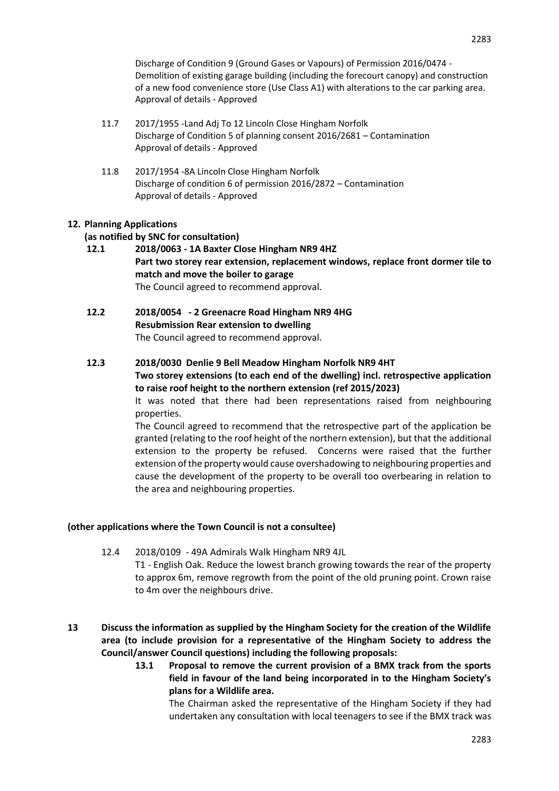Discharge of Condition 9 (Ground Gases or Vapours) of Permission 2016/0474 - Demolition of existing garage building (including the forecourt canopy) and construction of a new food convenience store (Use Class A1) with alterations to the car parking area. Approval of details - Approved

- 11.7 2017/1955 -Land Adj To 12 Lincoln Close Hingham Norfolk Discharge of Condition 5 of planning consent 2016/2681 – Contamination Approval of details - Approved
- 11.8 2017/1954 -8A Lincoln Close Hingham Norfolk Discharge of condition 6 of permission 2016/2872 – Contamination Approval of details - Approved

## **12. Planning Applications**

## **(as notified by SNC for consultation)**

- **12.1 2018/0063 - 1A Baxter Close Hingham NR9 4HZ Part two storey rear extension, replacement windows, replace front dormer tile to match and move the boiler to garage** The Council agreed to recommend approval.
- **12.2 2018/0054 - 2 Greenacre Road Hingham NR9 4HG Resubmission Rear extension to dwelling**  The Council agreed to recommend approval.
- **12.3 2018/0030 Denlie 9 Bell Meadow Hingham Norfolk NR9 4HT Two storey extensions (to each end of the dwelling) incl. retrospective application to raise roof height to the northern extension (ref 2015/2023)**

It was noted that there had been representations raised from neighbouring properties.

The Council agreed to recommend that the retrospective part of the application be granted (relating to the roof height of the northern extension), but that the additional extension to the property be refused. Concerns were raised that the further extension of the property would cause overshadowing to neighbouring properties and cause the development of the property to be overall too overbearing in relation to the area and neighbouring properties.

#### **(other applications where the Town Council is not a consultee)**

- 12.4 2018/0109 49A Admirals Walk Hingham NR9 4JL T1 - English Oak. Reduce the lowest branch growing towards the rear of the property to approx 6m, remove regrowth from the point of the old pruning point. Crown raise to 4m over the neighbours drive.
- **13 Discuss the information as supplied by the Hingham Society for the creation of the Wildlife area (to include provision for a representative of the Hingham Society to address the Council/answer Council questions) including the following proposals:** 
	- **13.1 Proposal to remove the current provision of a BMX track from the sports field in favour of the land being incorporated in to the Hingham Society's plans for a Wildlife area.**

The Chairman asked the representative of the Hingham Society if they had undertaken any consultation with local teenagers to see if the BMX track was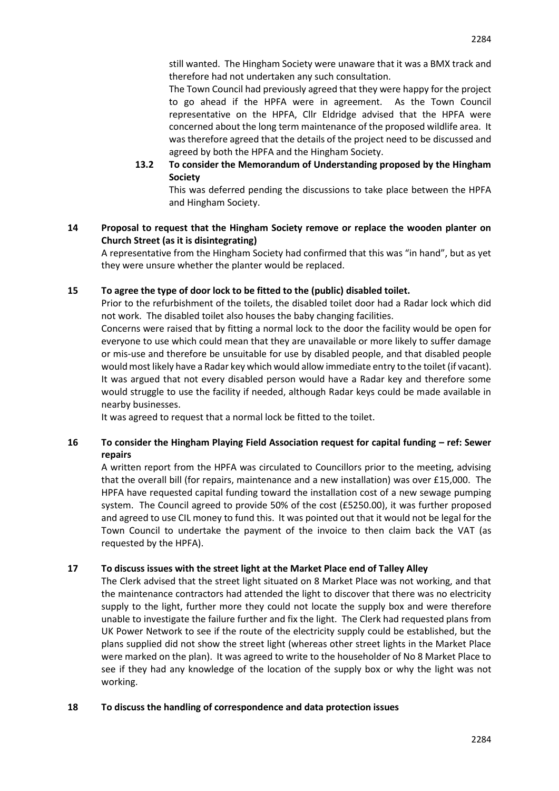still wanted. The Hingham Society were unaware that it was a BMX track and therefore had not undertaken any such consultation.

The Town Council had previously agreed that they were happy for the project to go ahead if the HPFA were in agreement. As the Town Council representative on the HPFA, Cllr Eldridge advised that the HPFA were concerned about the long term maintenance of the proposed wildlife area. It was therefore agreed that the details of the project need to be discussed and agreed by both the HPFA and the Hingham Society.

**13.2 To consider the Memorandum of Understanding proposed by the Hingham Society**

This was deferred pending the discussions to take place between the HPFA and Hingham Society.

# **14 Proposal to request that the Hingham Society remove or replace the wooden planter on Church Street (as it is disintegrating)**

A representative from the Hingham Society had confirmed that this was "in hand", but as yet they were unsure whether the planter would be replaced.

# **15 To agree the type of door lock to be fitted to the (public) disabled toilet.**

Prior to the refurbishment of the toilets, the disabled toilet door had a Radar lock which did not work. The disabled toilet also houses the baby changing facilities.

Concerns were raised that by fitting a normal lock to the door the facility would be open for everyone to use which could mean that they are unavailable or more likely to suffer damage or mis-use and therefore be unsuitable for use by disabled people, and that disabled people would most likely have a Radar key which would allow immediate entry to the toilet (if vacant). It was argued that not every disabled person would have a Radar key and therefore some would struggle to use the facility if needed, although Radar keys could be made available in nearby businesses.

It was agreed to request that a normal lock be fitted to the toilet.

# **16 To consider the Hingham Playing Field Association request for capital funding – ref: Sewer repairs**

A written report from the HPFA was circulated to Councillors prior to the meeting, advising that the overall bill (for repairs, maintenance and a new installation) was over £15,000. The HPFA have requested capital funding toward the installation cost of a new sewage pumping system. The Council agreed to provide 50% of the cost (£5250.00), it was further proposed and agreed to use CIL money to fund this. It was pointed out that it would not be legal for the Town Council to undertake the payment of the invoice to then claim back the VAT (as requested by the HPFA).

# **17 To discuss issues with the street light at the Market Place end of Talley Alley**

The Clerk advised that the street light situated on 8 Market Place was not working, and that the maintenance contractors had attended the light to discover that there was no electricity supply to the light, further more they could not locate the supply box and were therefore unable to investigate the failure further and fix the light. The Clerk had requested plans from UK Power Network to see if the route of the electricity supply could be established, but the plans supplied did not show the street light (whereas other street lights in the Market Place were marked on the plan). It was agreed to write to the householder of No 8 Market Place to see if they had any knowledge of the location of the supply box or why the light was not working.

# **18 To discuss the handling of correspondence and data protection issues**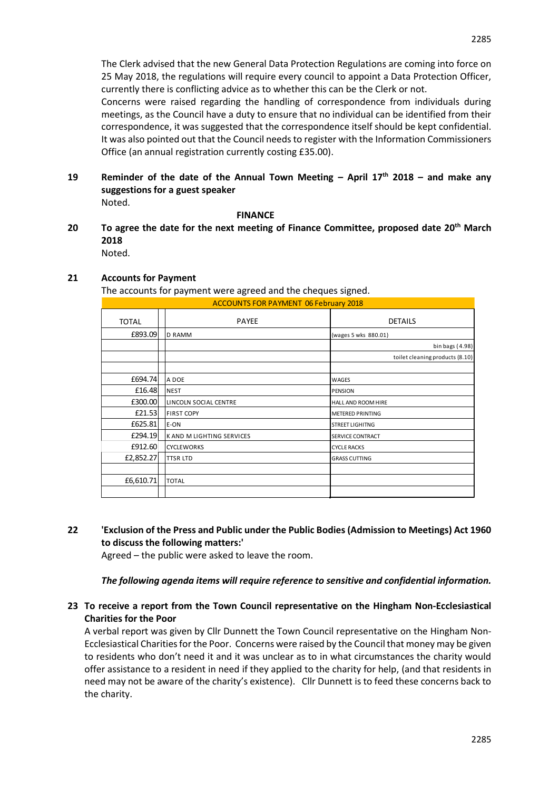The Clerk advised that the new General Data Protection Regulations are coming into force on 25 May 2018, the regulations will require every council to appoint a Data Protection Officer, currently there is conflicting advice as to whether this can be the Clerk or not.

Concerns were raised regarding the handling of correspondence from individuals during meetings, as the Council have a duty to ensure that no individual can be identified from their correspondence, it was suggested that the correspondence itself should be kept confidential. It was also pointed out that the Council needs to register with the Information Commissioners Office (an annual registration currently costing £35.00).

**19 Reminder of the date of the Annual Town Meeting – April 17th 2018 – and make any suggestions for a guest speaker**  Noted.

#### **FINANCE**

**20 To agree the date for the next meeting of Finance Committee, proposed date 20th March 2018** Noted.

## **21 Accounts for Payment**

The accounts for payment were agreed and the cheques signed.

| <b>ACCOUNTS FOR PAYMENT 06 February 2018</b> |                           |                                 |
|----------------------------------------------|---------------------------|---------------------------------|
| <b>TOTAL</b>                                 | <b>PAYEE</b>              | <b>DETAILS</b>                  |
| £893.09                                      | <b>D RAMM</b>             | (wages 5 wks 880.01)            |
|                                              |                           | bin bags $(4.98)$               |
|                                              |                           | toilet cleaning products (8.10) |
|                                              |                           |                                 |
| £694.74                                      | A DOE                     | WAGES                           |
| £16.48                                       | <b>NEST</b>               | PENSION                         |
| £300.00                                      | LINCOLN SOCIAL CENTRE     | HALL AND ROOM HIRE              |
| £21.53                                       | <b>FIRST COPY</b>         | <b>METERED PRINTING</b>         |
| £625.81                                      | E-ON                      | <b>STREET LIGHITNG</b>          |
| £294.19                                      | K AND M LIGHTING SERVICES | <b>SERVICE CONTRACT</b>         |
| £912.60                                      | <b>CYCLEWORKS</b>         | <b>CYCLE RACKS</b>              |
| £2,852.27                                    | TTSR LTD                  | <b>GRASS CUTTING</b>            |
|                                              |                           |                                 |
| £6,610.71                                    | <b>TOTAL</b>              |                                 |
|                                              |                           |                                 |

**22 'Exclusion of the Press and Public under the Public Bodies (Admission to Meetings) Act 1960 to discuss the following matters:'** 

Agreed – the public were asked to leave the room.

#### *The following agenda items will require reference to sensitive and confidential information.*

## **23 To receive a report from the Town Council representative on the Hingham Non-Ecclesiastical Charities for the Poor**

A verbal report was given by Cllr Dunnett the Town Council representative on the Hingham Non-Ecclesiastical Charities for the Poor. Concerns were raised by the Council that money may be given to residents who don't need it and it was unclear as to in what circumstances the charity would offer assistance to a resident in need if they applied to the charity for help, (and that residents in need may not be aware of the charity's existence). Cllr Dunnett is to feed these concerns back to the charity.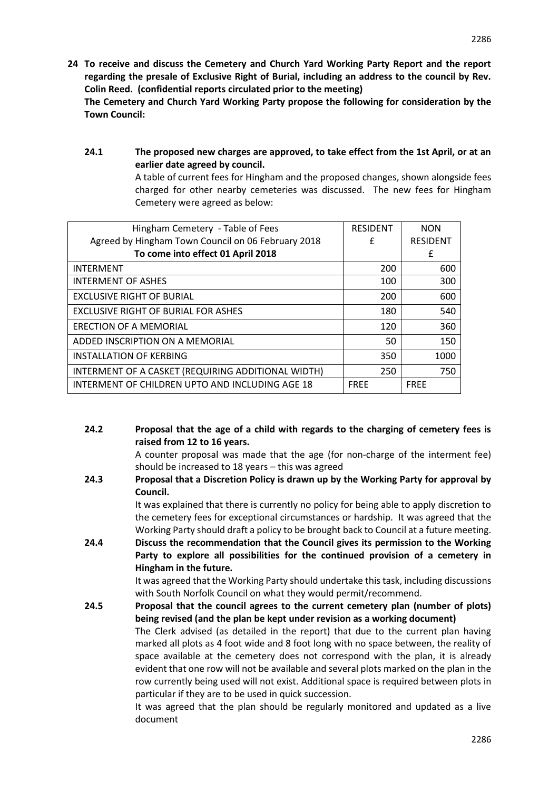**24 To receive and discuss the Cemetery and Church Yard Working Party Report and the report regarding the presale of Exclusive Right of Burial, including an address to the council by Rev. Colin Reed. (confidential reports circulated prior to the meeting)**

**The Cemetery and Church Yard Working Party propose the following for consideration by the Town Council:**

**24.1 The proposed new charges are approved, to take effect from the 1st April, or at an earlier date agreed by council.**

A table of current fees for Hingham and the proposed changes, shown alongside fees charged for other nearby cemeteries was discussed. The new fees for Hingham Cemetery were agreed as below:

| <b>RESIDENT</b> | <b>NON</b>      |
|-----------------|-----------------|
| £               | <b>RESIDENT</b> |
|                 | £               |
| 200             | 600             |
| 100             | 300             |
| 200             | 600             |
| 180             | 540             |
| 120             | 360             |
| 50              | 150             |
| 350             | 1000            |
| 250             | 750             |
| <b>FRFF</b>     | <b>FREE</b>     |
|                 |                 |

**24.2 Proposal that the age of a child with regards to the charging of cemetery fees is raised from 12 to 16 years.**

> A counter proposal was made that the age (for non-charge of the interment fee) should be increased to 18 years – this was agreed

**24.3 Proposal that a Discretion Policy is drawn up by the Working Party for approval by Council.**

It was explained that there is currently no policy for being able to apply discretion to the cemetery fees for exceptional circumstances or hardship. It was agreed that the Working Party should draft a policy to be brought back to Council at a future meeting.

**24.4 Discuss the recommendation that the Council gives its permission to the Working Party to explore all possibilities for the continued provision of a cemetery in Hingham in the future.**

> It was agreed that the Working Party should undertake this task, including discussions with South Norfolk Council on what they would permit/recommend.

**24.5 Proposal that the council agrees to the current cemetery plan (number of plots) being revised (and the plan be kept under revision as a working document)** The Clerk advised (as detailed in the report) that due to the current plan having marked all plots as 4 foot wide and 8 foot long with no space between, the reality of space available at the cemetery does not correspond with the plan, it is already evident that one row will not be available and several plots marked on the plan in the row currently being used will not exist. Additional space is required between plots in particular if they are to be used in quick succession.

It was agreed that the plan should be regularly monitored and updated as a live document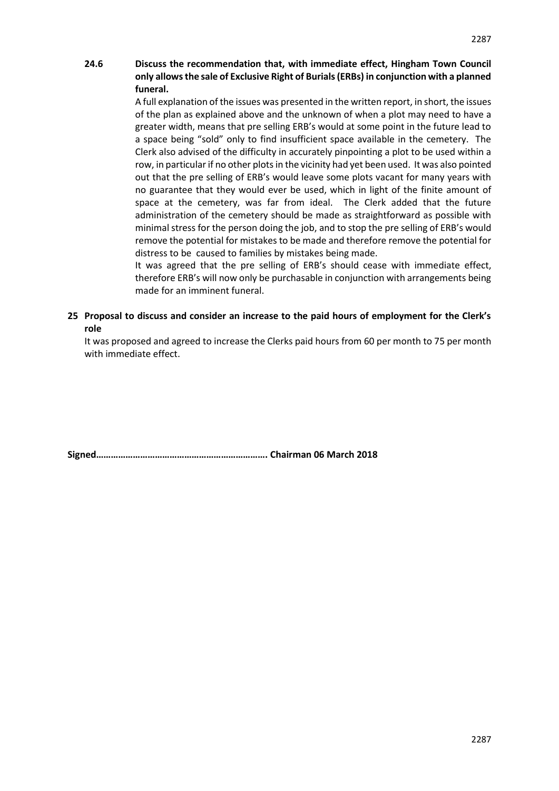## **24.6 Discuss the recommendation that, with immediate effect, Hingham Town Council only allows the sale of Exclusive Right of Burials (ERBs) in conjunction with a planned funeral.**

A full explanation of the issues was presented in the written report, in short, the issues of the plan as explained above and the unknown of when a plot may need to have a greater width, means that pre selling ERB's would at some point in the future lead to a space being "sold" only to find insufficient space available in the cemetery. The Clerk also advised of the difficulty in accurately pinpointing a plot to be used within a row, in particular if no other plots in the vicinity had yet been used. It was also pointed out that the pre selling of ERB's would leave some plots vacant for many years with no guarantee that they would ever be used, which in light of the finite amount of space at the cemetery, was far from ideal. The Clerk added that the future administration of the cemetery should be made as straightforward as possible with minimal stress for the person doing the job, and to stop the pre selling of ERB's would remove the potential for mistakes to be made and therefore remove the potential for distress to be caused to families by mistakes being made.

It was agreed that the pre selling of ERB's should cease with immediate effect, therefore ERB's will now only be purchasable in conjunction with arrangements being made for an imminent funeral.

**25 Proposal to discuss and consider an increase to the paid hours of employment for the Clerk's role**

It was proposed and agreed to increase the Clerks paid hours from 60 per month to 75 per month with immediate effect.

**Signed……………………………………………………………. Chairman 06 March 2018**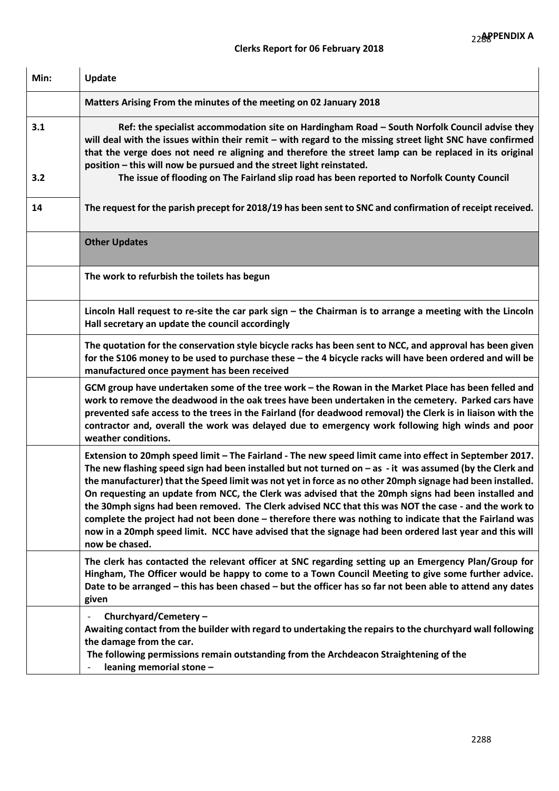| Min:       | Update                                                                                                                                                                                                                                                                                                                                                                                                                                                                                                                                                                                                                                                                                                                                                                                |
|------------|---------------------------------------------------------------------------------------------------------------------------------------------------------------------------------------------------------------------------------------------------------------------------------------------------------------------------------------------------------------------------------------------------------------------------------------------------------------------------------------------------------------------------------------------------------------------------------------------------------------------------------------------------------------------------------------------------------------------------------------------------------------------------------------|
|            | Matters Arising From the minutes of the meeting on 02 January 2018                                                                                                                                                                                                                                                                                                                                                                                                                                                                                                                                                                                                                                                                                                                    |
| 3.1<br>3.2 | Ref: the specialist accommodation site on Hardingham Road - South Norfolk Council advise they<br>will deal with the issues within their remit - with regard to the missing street light SNC have confirmed<br>that the verge does not need re aligning and therefore the street lamp can be replaced in its original<br>position - this will now be pursued and the street light reinstated.<br>The issue of flooding on The Fairland slip road has been reported to Norfolk County Council                                                                                                                                                                                                                                                                                           |
| 14         | The request for the parish precept for 2018/19 has been sent to SNC and confirmation of receipt received.                                                                                                                                                                                                                                                                                                                                                                                                                                                                                                                                                                                                                                                                             |
|            | <b>Other Updates</b>                                                                                                                                                                                                                                                                                                                                                                                                                                                                                                                                                                                                                                                                                                                                                                  |
|            | The work to refurbish the toilets has begun                                                                                                                                                                                                                                                                                                                                                                                                                                                                                                                                                                                                                                                                                                                                           |
|            | Lincoln Hall request to re-site the car park sign $-$ the Chairman is to arrange a meeting with the Lincoln<br>Hall secretary an update the council accordingly                                                                                                                                                                                                                                                                                                                                                                                                                                                                                                                                                                                                                       |
|            | The quotation for the conservation style bicycle racks has been sent to NCC, and approval has been given<br>for the S106 money to be used to purchase these - the 4 bicycle racks will have been ordered and will be<br>manufactured once payment has been received                                                                                                                                                                                                                                                                                                                                                                                                                                                                                                                   |
|            | GCM group have undertaken some of the tree work - the Rowan in the Market Place has been felled and<br>work to remove the deadwood in the oak trees have been undertaken in the cemetery. Parked cars have<br>prevented safe access to the trees in the Fairland (for deadwood removal) the Clerk is in liaison with the<br>contractor and, overall the work was delayed due to emergency work following high winds and poor<br>weather conditions.                                                                                                                                                                                                                                                                                                                                   |
|            | Extension to 20mph speed limit - The Fairland - The new speed limit came into effect in September 2017.<br>The new flashing speed sign had been installed but not turned on - as - it was assumed (by the Clerk and<br>the manufacturer) that the Speed limit was not yet in force as no other 20mph signage had been installed.<br>On requesting an update from NCC, the Clerk was advised that the 20mph signs had been installed and<br>the 30mph signs had been removed. The Clerk advised NCC that this was NOT the case - and the work to<br>complete the project had not been done - therefore there was nothing to indicate that the Fairland was<br>now in a 20mph speed limit. NCC have advised that the signage had been ordered last year and this will<br>now be chased. |
|            | The clerk has contacted the relevant officer at SNC regarding setting up an Emergency Plan/Group for<br>Hingham, The Officer would be happy to come to a Town Council Meeting to give some further advice.<br>Date to be arranged – this has been chased – but the officer has so far not been able to attend any dates<br>given                                                                                                                                                                                                                                                                                                                                                                                                                                                      |
|            | Churchyard/Cemetery-<br>Awaiting contact from the builder with regard to undertaking the repairs to the churchyard wall following<br>the damage from the car.<br>The following permissions remain outstanding from the Archdeacon Straightening of the<br>leaning memorial stone -                                                                                                                                                                                                                                                                                                                                                                                                                                                                                                    |